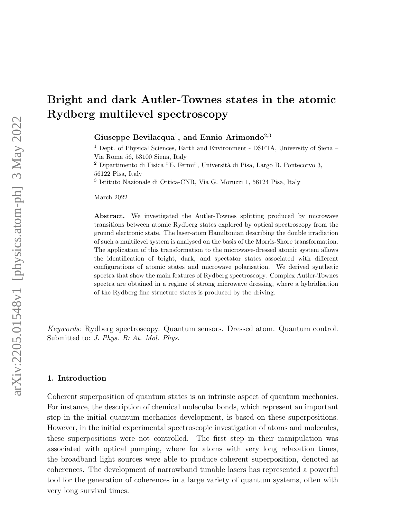# Bright and dark Autler-Townes states in the atomic Rydberg multilevel spectroscopy

Giuseppe Bevilacqua<sup>1</sup>, and Ennio Arimondo<sup>2,3</sup>

 $^1$  Dept. of Physical Sciences, Earth and Environment - DSFTA, University of Siena –  $\,$ Via Roma 56, 53100 Siena, Italy

<sup>2</sup> Dipartimento di Fisica "E. Fermi", Università di Pisa, Largo B. Pontecorvo 3, 56122 Pisa, Italy

3 Istituto Nazionale di Ottica-CNR, Via G. Moruzzi 1, 56124 Pisa, Italy

March 2022

Abstract. We investigated the Autler-Townes splitting produced by microwave transitions between atomic Rydberg states explored by optical spectroscopy from the ground electronic state. The laser-atom Hamiltonian describing the double irradiation of such a multilevel system is analysed on the basis of the Morris-Shore transformation. The application of this transformation to the microwave-dressed atomic system allows the identification of bright, dark, and spectator states associated with different configurations of atomic states and microwave polarisation. We derived synthetic spectra that show the main features of Rydberg spectroscopy. Complex Autler-Townes spectra are obtained in a regime of strong microwave dressing, where a hybridisation of the Rydberg fine structure states is produced by the driving.

Keywords: Rydberg spectroscopy. Quantum sensors. Dressed atom. Quantum control. Submitted to: J. Phys. B: At. Mol. Phys.

## 1. Introduction

Coherent superposition of quantum states is an intrinsic aspect of quantum mechanics. For instance, the description of chemical molecular bonds, which represent an important step in the initial quantum mechanics development, is based on these superpositions. However, in the initial experimental spectroscopic investigation of atoms and molecules, these superpositions were not controlled. The first step in their manipulation was associated with optical pumping, where for atoms with very long relaxation times, the broadband light sources were able to produce coherent superposition, denoted as coherences. The development of narrowband tunable lasers has represented a powerful tool for the generation of coherences in a large variety of quantum systems, often with very long survival times.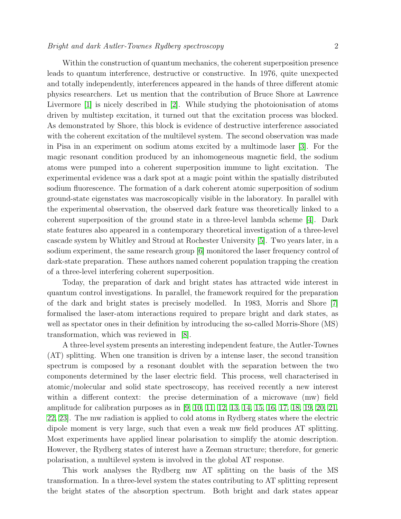Within the construction of quantum mechanics, the coherent superposition presence leads to quantum interference, destructive or constructive. In 1976, quite unexpected and totally independently, interferences appeared in the hands of three different atomic physics researchers. Let us mention that the contribution of Bruce Shore at Lawrence Livermore [\[1\]](#page-14-0) is nicely described in [\[2\]](#page-14-1). While studying the photoionisation of atoms driven by multistep excitation, it turned out that the excitation process was blocked. As demonstrated by Shore, this block is evidence of destructive interference associated with the coherent excitation of the multilevel system. The second observation was made in Pisa in an experiment on sodium atoms excited by a multimode laser [\[3\]](#page-14-2). For the magic resonant condition produced by an inhomogeneous magnetic field, the sodium atoms were pumped into a coherent superposition immune to light excitation. The experimental evidence was a dark spot at a magic point within the spatially distributed sodium fluorescence. The formation of a dark coherent atomic superposition of sodium ground-state eigenstates was macroscopically visible in the laboratory. In parallel with the experimental observation, the observed dark feature was theoretically linked to a coherent superposition of the ground state in a three-level lambda scheme [\[4\]](#page-14-3). Dark state features also appeared in a contemporary theoretical investigation of a three-level cascade system by Whitley and Stroud at Rochester University [\[5\]](#page-14-4). Two years later, in a sodium experiment, the same research group [\[6\]](#page-14-5) monitored the laser frequency control of dark-state preparation. These authors named coherent population trapping the creation of a three-level interfering coherent superposition.

Today, the preparation of dark and bright states has attracted wide interest in quantum control investigations. In parallel, the framework required for the preparation of the dark and bright states is precisely modelled. In 1983, Morris and Shore [\[7\]](#page-14-6) formalised the laser-atom interactions required to prepare bright and dark states, as well as spectator ones in their definition by introducing the so-called Morris-Shore (MS) transformation, which was reviewed in [\[8\]](#page-14-7).

A three-level system presents an interesting independent feature, the Autler-Townes (AT) splitting. When one transition is driven by a intense laser, the second transition spectrum is composed by a resonant doublet with the separation between the two components determined by the laser electric field. This process, well characterised in atomic/molecular and solid state spectroscopy, has received recently a new interest within a different context: the precise determination of a microwave (mw) field amplitude for calibration purposes as in [\[9,](#page-14-8) [10,](#page-14-9) [11,](#page-14-10) [12,](#page-14-11) [13,](#page-14-12) [14,](#page-14-13) [15,](#page-14-14) [16,](#page-14-15) [17,](#page-14-16) [18,](#page-15-0) [19,](#page-15-1) [20,](#page-15-2) [21,](#page-15-3) [22,](#page-15-4) [23\]](#page-15-5). The mw radiation is applied to cold atoms in Rydberg states where the electric dipole moment is very large, such that even a weak mw field produces AT splitting. Most experiments have applied linear polarisation to simplify the atomic description. However, the Rydberg states of interest have a Zeeman structure; therefore, for generic polarisation, a multilevel system is involved in the global AT response.

This work analyses the Rydberg mw AT splitting on the basis of the MS transformation. In a three-level system the states contributing to AT splitting represent the bright states of the absorption spectrum. Both bright and dark states appear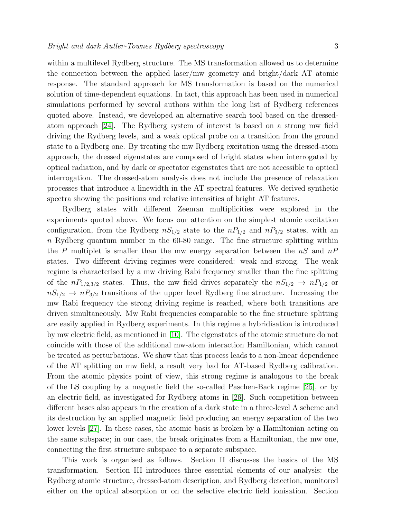within a multilevel Rydberg structure. The MS transformation allowed us to determine the connection between the applied laser/mw geometry and bright/dark AT atomic response. The standard approach for MS transformation is based on the numerical solution of time-dependent equations. In fact, this approach has been used in numerical simulations performed by several authors within the long list of Rydberg references quoted above. Instead, we developed an alternative search tool based on the dressedatom approach [\[24\]](#page-15-6). The Rydberg system of interest is based on a strong mw field driving the Rydberg levels, and a weak optical probe on a transition from the ground state to a Rydberg one. By treating the mw Rydberg excitation using the dressed-atom approach, the dressed eigenstates are composed of bright states when interrogated by optical radiation, and by dark or spectator eigenstates that are not accessible to optical interrogation. The dressed-atom analysis does not include the presence of relaxation processes that introduce a linewidth in the AT spectral features. We derived synthetic spectra showing the positions and relative intensities of bright AT features.

Rydberg states with different Zeeman multiplicities were explored in the experiments quoted above. We focus our attention on the simplest atomic excitation configuration, from the Rydberg  $nS_{1/2}$  state to the  $nP_{1/2}$  and  $nP_{3/2}$  states, with an n Rydberg quantum number in the 60-80 range. The fine structure splitting within the P multiplet is smaller than the mw energy separation between the  $nS$  and  $nP$ states. Two different driving regimes were considered: weak and strong. The weak regime is characterised by a mw driving Rabi frequency smaller than the fine splitting of the  $nP_{1/2,3/2}$  states. Thus, the mw field drives separately the  $nS_{1/2} \rightarrow nP_{1/2}$  or  $nS_{1/2} \rightarrow nP_{3/2}$  transitions of the upper level Rydberg fine structure. Increasing the mw Rabi frequency the strong driving regime is reached, where both transitions are driven simultaneously. Mw Rabi frequencies comparable to the fine structure splitting are easily applied in Rydberg experiments. In this regime a hybridisation is introduced by mw electric field, as mentioned in [\[10\]](#page-14-9). The eigenstates of the atomic structure do not coincide with those of the additional mw-atom interaction Hamiltonian, which cannot be treated as perturbations. We show that this process leads to a non-linear dependence of the AT splitting on mw field, a result very bad for AT-based Rydberg calibration. From the atomic physics point of view, this strong regime is analogous to the break of the LS coupling by a magnetic field the so-called Paschen-Back regime [\[25\]](#page-15-7), or by an electric field, as investigated for Rydberg atoms in [\[26\]](#page-15-8). Such competition between different bases also appears in the creation of a dark state in a three-level  $\Lambda$  scheme and its destruction by an applied magnetic field producing an energy separation of the two lower levels [\[27\]](#page-15-9). In these cases, the atomic basis is broken by a Hamiltonian acting on the same subspace; in our case, the break originates from a Hamiltonian, the mw one, connecting the first structure subspace to a separate subspace.

This work is organised as follows. Section II discusses the basics of the MS transformation. Section III introduces three essential elements of our analysis: the Rydberg atomic structure, dressed-atom description, and Rydberg detection, monitored either on the optical absorption or on the selective electric field ionisation. Section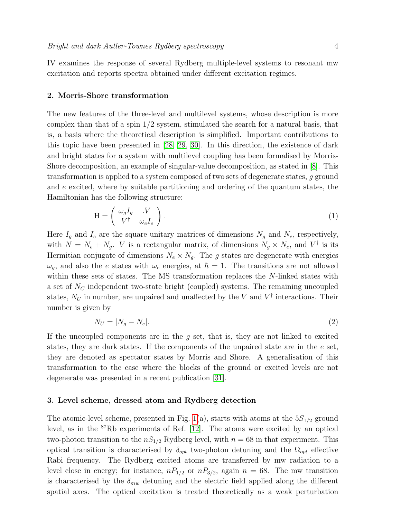IV examines the response of several Rydberg multiple-level systems to resonant mw excitation and reports spectra obtained under different excitation regimes.

#### 2. Morris-Shore transformation

The new features of the three-level and multilevel systems, whose description is more complex than that of a spin  $1/2$  system, stimulated the search for a natural basis, that is, a basis where the theoretical description is simplified. Important contributions to this topic have been presented in [\[28,](#page-15-10) [29,](#page-15-11) [30\]](#page-15-12). In this direction, the existence of dark and bright states for a system with multilevel coupling has been formalised by Morris-Shore decomposition, an example of singular-value decomposition, as stated in [\[8\]](#page-14-7). This transformation is applied to a system composed of two sets of degenerate states,  $q$  ground and e excited, where by suitable partitioning and ordering of the quantum states, the Hamiltonian has the following structure:

<span id="page-3-0"></span>
$$
\mathbf{H} = \begin{pmatrix} \omega_g I_g & V \\ V^\dagger & \omega_e I_e \end{pmatrix} . \tag{1}
$$

Here  $I_g$  and  $I_e$  are the square unitary matrices of dimensions  $N_g$  and  $N_e$ , respectively, with  $N = N_e + N_g$ . *V* is a rectangular matrix, of dimensions  $N_g \times N_e$ , and  $V^{\dagger}$  is its Hermitian conjugate of dimensions  $N_e \times N_q$ . The g states are degenerate with energies  $\omega_q$ , and also the e states with  $\omega_e$  energies, at  $\hbar = 1$ . The transitions are not allowed within these sets of states. The MS transformation replaces the N-linked states with a set of  $N_c$  independent two-state bright (coupled) systems. The remaining uncoupled states,  $N_U$  in number, are unpaired and unaffected by the V and  $V^{\dagger}$  interactions. Their number is given by

$$
N_U = |N_g - N_e|.\tag{2}
$$

If the uncoupled components are in the  $q$  set, that is, they are not linked to excited states, they are dark states. If the components of the unpaired state are in the e set, they are denoted as spectator states by Morris and Shore. A generalisation of this transformation to the case where the blocks of the ground or excited levels are not degenerate was presented in a recent publication [\[31\]](#page-15-13).

### 3. Level scheme, dressed atom and Rydberg detection

The atomic-level scheme, presented in Fig. [1\(](#page-5-0)a), starts with atoms at the  $5S_{1/2}$  ground level, as in the  ${}^{87}$ Rb experiments of Ref. [\[12\]](#page-14-11). The atoms were excited by an optical two-photon transition to the  $nS_{1/2}$  Rydberg level, with  $n = 68$  in that experiment. This optical transition is characterised by  $\delta_{\text{opt}}$  two-photon detuning and the  $\Omega_{\text{opt}}$  effective Rabi frequency. The Rydberg excited atoms are transferred by mw radiation to a level close in energy; for instance,  $nP_{1/2}$  or  $nP_{3/2}$ , again  $n = 68$ . The mw transition is characterised by the  $\delta_{mw}$  detuning and the electric field applied along the different spatial axes. The optical excitation is treated theoretically as a weak perturbation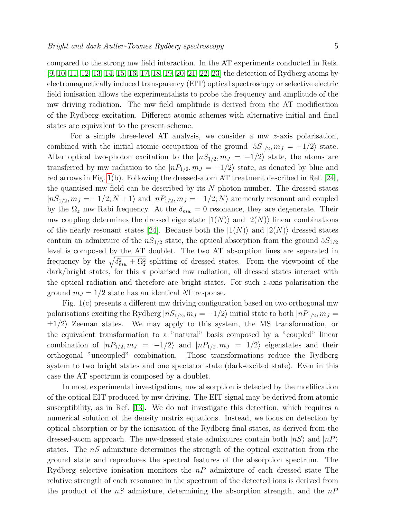compared to the strong mw field interaction. In the AT experiments conducted in Refs. [\[9,](#page-14-8) [10,](#page-14-9) [11,](#page-14-10) [12,](#page-14-11) [13,](#page-14-12) [14,](#page-14-13) [15,](#page-14-14) [16,](#page-14-15) [17,](#page-14-16) [18,](#page-15-0) [19,](#page-15-1) [20,](#page-15-2) [21,](#page-15-3) [22,](#page-15-4) [23\]](#page-15-5) the detection of Rydberg atoms by electromagnetically induced transparency (EIT) optical spectroscopy or selective electric field ionisation allows the experimentalists to probe the frequency and amplitude of the mw driving radiation. The mw field amplitude is derived from the AT modification of the Rydberg excitation. Different atomic schemes with alternative initial and final states are equivalent to the present scheme.

For a simple three-level AT analysis, we consider a mw z-axis polarisation, combined with the initial atomic occupation of the ground  $|5S_{1/2}, m_J = -1/2\rangle$  state. After optical two-photon excitation to the  $|nS_{1/2}, m_J = -1/2\rangle$  state, the atoms are transferred by mw radiation to the  $|nP_{1/2}, m_J = -1/2\rangle$  state, as denoted by blue and red arrows in Fig. [1\(](#page-5-0)b). Following the dressed-atom AT treatment described in Ref. [\[24\]](#page-15-6), the quantised mw field can be described by its  $N$  photon number. The dressed states  $|nS_{1/2}, m_J = -1/2; N+1\rangle$  and  $|nP_{1/2}, m_J = -1/2; N\rangle$  are nearly resonant and coupled by the  $\Omega_z$  mw Rabi frequency. At the  $\delta_{mw} = 0$  resonance, they are degenerate. Their mw coupling determines the dressed eigenstate  $|1(N)\rangle$  and  $|2(N)\rangle$  linear combinations of the nearly resonant states [\[24\]](#page-15-6). Because both the  $|1(N)\rangle$  and  $|2(N)\rangle$  dressed states contain an admixture of the  $nS_{1/2}$  state, the optical absorption from the ground  $5S_{1/2}$ level is composed by the AT doublet. The two AT absorption lines are separated in frequency by the  $\sqrt{\delta_{mw}^2 + \Omega_z^2}$  splitting of dressed states. From the viewpoint of the dark/bright states, for this  $\pi$  polarised mw radiation, all dressed states interact with the optical radiation and therefore are bright states. For such  $z$ -axis polarisation the ground  $m<sub>J</sub> = 1/2$  state has an identical AT response.

Fig. 1(c) presents a different mw driving configuration based on two orthogonal mw polarisations exciting the Rydberg  $|nS_{1/2}, m_J = -1/2\rangle$  initial state to both  $|nP_{1/2}, m_J =$  $\pm 1/2$  Zeeman states. We may apply to this system, the MS transformation, or the equivalent transformation to a "natural" basis composed by a "coupled" linear combination of  $|nP_{1/2}, m_J = -1/2\rangle$  and  $|nP_{1/2}, m_J = 1/2\rangle$  eigenstates and their orthogonal "uncoupled" combination. Those transformations reduce the Rydberg system to two bright states and one spectator state (dark-excited state). Even in this case the AT spectrum is composed by a doublet.

In most experimental investigations, mw absorption is detected by the modification of the optical EIT produced by mw driving. The EIT signal may be derived from atomic susceptibility, as in Ref. [\[13\]](#page-14-12). We do not investigate this detection, which requires a numerical solution of the density matrix equations. Instead, we focus on detection by optical absorption or by the ionisation of the Rydberg final states, as derived from the dressed-atom approach. The mw-dressed state admixtures contain both  $|nS\rangle$  and  $|nP\rangle$ states. The nS admixture determines the strength of the optical excitation from the ground state and reproduces the spectral features of the absorption spectrum. The Rydberg selective ionisation monitors the  $nP$  admixture of each dressed state The relative strength of each resonance in the spectrum of the detected ions is derived from the product of the  $nS$  admixture, determining the absorption strength, and the  $nP$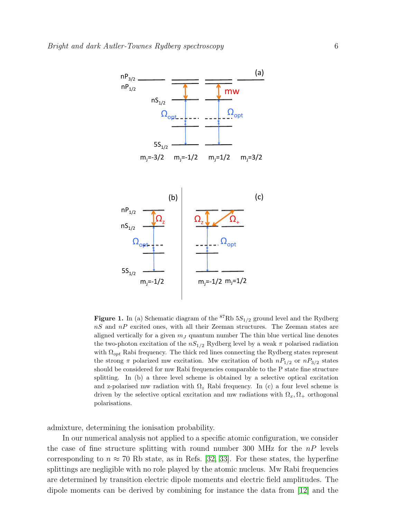

<span id="page-5-0"></span>**Figure 1.** In (a) Schematic diagram of the  ${}^{87}$ Rb  $5S_{1/2}$  ground level and the Rydberg  $nS$  and  $nP$  excited ones, with all their Zeeman structures. The Zeeman states are aligned vertically for a given  $m<sub>J</sub>$  quantum number The thin blue vertical line denotes the two-photon excitation of the  $nS_{1/2}$  Rydberg level by a weak  $\pi$  polarised radiation with  $\Omega_{opt}$  Rabi frequency. The thick red lines connecting the Rydberg states represent the strong  $\pi$  polarized mw excitation. Mw excitation of both  $nP_{1/2}$  or  $nP_{3/2}$  states should be considered for mw Rabi frequencies comparable to the P state fine structure splitting. In (b) a three level scheme is obtained by a selective optical excitation and z-polarised mw radiation with  $\Omega_z$  Rabi frequency. In (c) a four level scheme is driven by the selective optical excitation and mw radiations with  $\Omega_x, \Omega_+$  orthogonal polarisations.

admixture, determining the ionisation probability.

In our numerical analysis not applied to a specific atomic configuration, we consider the case of fine structure splitting with round number 300 MHz for the  $nP$  levels corresponding to  $n \approx 70$  Rb state, as in Refs. [\[32,](#page-15-14) [33\]](#page-15-15). For these states, the hyperfine splittings are negligible with no role played by the atomic nucleus. Mw Rabi frequencies are determined by transition electric dipole moments and electric field amplitudes. The dipole moments can be derived by combining for instance the data from [\[12\]](#page-14-11) and the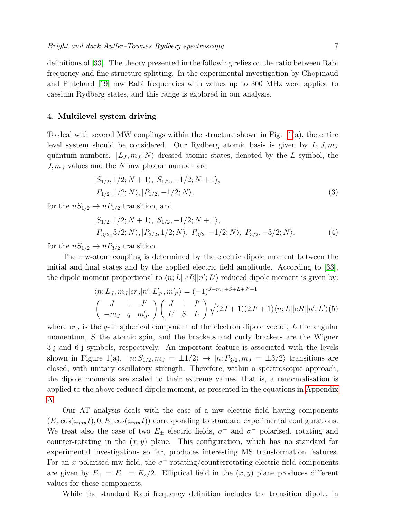definitions of [\[33\]](#page-15-15). The theory presented in the following relies on the ratio between Rabi frequency and fine structure splitting. In the experimental investigation by Chopinaud and Pritchard [\[19\]](#page-15-1) mw Rabi frequencies with values up to 300 MHz were applied to caesium Rydberg states, and this range is explored in our analysis.

### 4. Multilevel system driving

To deal with several MW couplings within the structure shown in Fig.  $1(a)$ , the entire level system should be considered. Our Rydberg atomic basis is given by  $L, J, m<sub>J</sub>$ quantum numbers.  $|L_J, m_J; N\rangle$  dressed atomic states, denoted by the L symbol, the  $J, m<sub>J</sub>$  values and the N mw photon number are

$$
|S_{1/2}, 1/2; N+1\rangle, |S_{1/2}, -1/2; N+1\rangle, |P_{1/2}, 1/2; N\rangle, |P_{1/2}, -1/2; N\rangle,
$$
\n(3)

for the  $nS_{1/2} \rightarrow nP_{1/2}$  transition, and

$$
|S_{1/2}, 1/2; N+1\rangle, |S_{1/2}, -1/2; N+1\rangle,|P_{3/2}, 3/2; N\rangle, |P_{3/2}, 1/2; N\rangle, |P_{3/2}, -1/2; N\rangle, |P_{3/2}, -3/2; N\rangle.
$$
 (4)

for the  $nS_{1/2} \rightarrow nP_{3/2}$  transition.

The mw-atom coupling is determined by the electric dipole moment between the initial and final states and by the applied electric field amplitude. According to [\[33\]](#page-15-15), the dipole moment proportional to  $\langle n; L || eR || n'; L' \rangle$  reduced dipole moment is given by:

$$
\langle n; L_J, m_J | er_q | n'; L'_{J'}, m'_{J'} \rangle = (-1)^{J - m_J + S + L + J' + 1}
$$
  

$$
\begin{pmatrix} J & 1 & J' \\ -m_J & q & m'_{J'} \end{pmatrix} \begin{pmatrix} J & 1 & J' \\ L' & S & L \end{pmatrix} \sqrt{(2J + 1)(2J' + 1)} \langle n; L || eR || n'; L' \rangle (5)
$$

where  $er_q$  is the q-th spherical component of the electron dipole vector, L the angular momentum, S the atomic spin, and the brackets and curly brackets are the Wigner 3-j and 6-j symbols, respectively. An important feature is associated with the levels shown in Figure 1(a).  $|n; S_{1/2}, m_J = \pm 1/2 \rangle \rightarrow |n; P_{3/2}, m_J = \pm 3/2 \rangle$  transitions are closed, with unitary oscillatory strength. Therefore, within a spectroscopic approach, the dipole moments are scaled to their extreme values, that is, a renormalisation is applied to the above reduced dipole moment, as presented in the equations in [Appendix](#page-13-0) [A.](#page-13-0)

Our AT analysis deals with the case of a mw electric field having components  $(E_x \cos(\omega_{mw}t), 0, E_z \cos(\omega_{mw}t))$  corresponding to standard experimental configurations. We treat also the case of two  $E_{\pm}$  electric fields,  $\sigma^{+}$  and  $\sigma^{-}$  polarised, rotating and counter-rotating in the  $(x, y)$  plane. This configuration, which has no standard for experimental investigations so far, produces interesting MS transformation features. For an x polarised mw field, the  $\sigma^{\pm}$  rotating/counterrotating electric field components are given by  $E_+ = E_- = E_x/2$ . Elliptical field in the  $(x, y)$  plane produces different values for these components.

While the standard Rabi frequency definition includes the transition dipole, in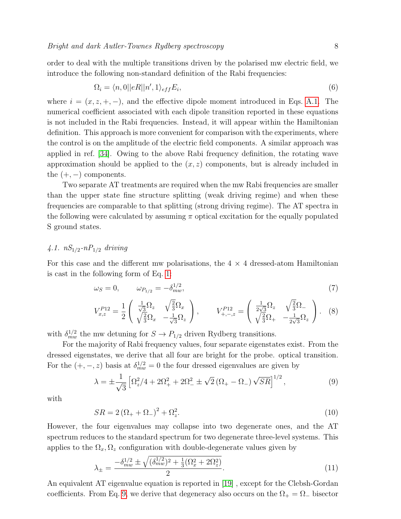order to deal with the multiple transitions driven by the polarised mw electric field, we introduce the following non-standard definition of the Rabi frequencies:

$$
\Omega_i = \langle n, 0 | |eR| |n', 1 \rangle_{eff} E_i,\tag{6}
$$

where  $i = (x, z, +, -)$ , and the effective dipole moment introduced in Eqs. [A.1.](#page-13-1) The numerical coefficient associated with each dipole transition reported in these equations is not included in the Rabi frequencies. Instead, it will appear within the Hamiltonian definition. This approach is more convenient for comparison with the experiments, where the control is on the amplitude of the electric field components. A similar approach was applied in ref. [\[34\]](#page-15-16). Owing to the above Rabi frequency definition, the rotating wave approximation should be applied to the  $(x, z)$  components, but is already included in the  $(+, -)$  components.

Two separate AT treatments are required when the mw Rabi frequencies are smaller than the upper state fine structure splitting (weak driving regime) and when these frequencies are comparable to that splitting (strong driving regime). The AT spectra in the following were calculated by assuming  $\pi$  optical excitation for the equally populated S ground states.

# 4.1.  $nS_{1/2}$ - $nP_{1/2}$  driving

For this case and the different mw polarisations, the  $4 \times 4$  dressed-atom Hamiltonian is cast in the following form of Eq. [1:](#page-3-0)

$$
\omega_S = 0, \qquad \omega_{P_{1/2}} = -\delta_{mw}^{1/2}, \tag{7}
$$

<span id="page-7-2"></span>
$$
V_{x,z}^{P12} = \frac{1}{2} \begin{pmatrix} \frac{1}{\sqrt{3}} \Omega_z & \sqrt{\frac{2}{3}} \Omega_x \\ \sqrt{\frac{2}{3}} \Omega_x & -\frac{1}{\sqrt{3}} \Omega_z \end{pmatrix}, \qquad V_{+,-z}^{P12} = \begin{pmatrix} \frac{1}{2\sqrt{3}} \Omega_z & \sqrt{\frac{2}{3}} \Omega_- \\ \sqrt{\frac{2}{3}} \Omega_+ & -\frac{1}{2\sqrt{3}} \Omega_z \end{pmatrix}. \tag{8}
$$

with  $\delta_{mw}^{1/2}$  the mw detuning for  $S \to P_{1/2}$  driven Rydberg transitions.

For the majority of Rabi frequency values, four separate eigenstates exist. From the dressed eigenstates, we derive that all four are bright for the probe. optical transition. For the  $(+, -, z)$  basis at  $\delta_{mw}^{1/2} = 0$  the four dressed eigenvalues are given by

<span id="page-7-0"></span>
$$
\lambda = \pm \frac{1}{\sqrt{3}} \left[ \Omega_z^2 / 4 + 2\Omega_+^2 + 2\Omega_-^2 \pm \sqrt{2} \left( \Omega_+ - \Omega_- \right) \sqrt{SR} \right]^{1/2},\tag{9}
$$

with

$$
SR = 2\left(\Omega_+ + \Omega_-\right)^2 + \Omega_z^2. \tag{10}
$$

However, the four eigenvalues may collapse into two degenerate ones, and the AT spectrum reduces to the standard spectrum for two degenerate three-level systems. This applies to the  $\Omega_x, \Omega_z$  configuration with double-degenerate values given by

<span id="page-7-1"></span>
$$
\lambda_{\pm} = \frac{-\delta_{mw}^{1/2} \pm \sqrt{(\delta_{mw}^{1/2})^2 + \frac{1}{3}(\Omega_x^2 + 2\Omega_z^2)}}{2}.
$$
\n(11)

An equivalent AT eigenvalue equation is reported in [\[19\]](#page-15-1) , except for the Clebsh-Gordan coefficients. From Eq. [9,](#page-7-0) we derive that degeneracy also occurs on the  $\Omega_+ = \Omega_-$  bisector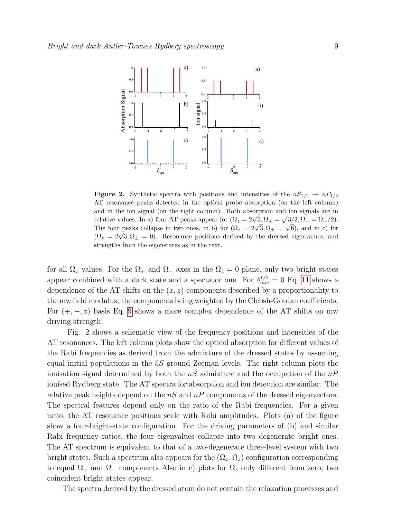

<span id="page-8-0"></span>**Figure 2.** Synthetic spectra with positions and intensities of the  $nS_{1/2} \rightarrow nP_{1/2}$ AT resonance peaks detected in the optical probe absorption (on the left column) and in the ion signal (on the right column). Both absorption and ion signals are in and in the form signal (on the right column). Both absorption and for signals are in relative values. In a) four AT peaks appear for  $(\Omega_z = 2\sqrt{3}, \Omega_+ = \sqrt{3/2}, \Omega_- = \Omega_+/2)$ . The four peaks collapse in two ones, in b) for  $(\Omega_z = 2\sqrt{3}, \Omega_{\pm} = \sqrt{6})$ , and in c) for The four peaks conapse in two ones, in b) for  $(x_z = 2\sqrt{3}, x_{\pm} = \sqrt{0})$ , and in c) for  $(\Omega_z = 2\sqrt{3}, \Omega_{\pm} = 0)$ . Resonance positions derived by the dressed eigenvalues, and strengths from the eigenstates as in the text.

for all  $\Omega_x$  values. For the  $\Omega_+$  and  $\Omega_-$  axes in the  $\Omega_z = 0$  plane, only two bright states appear combined with a dark state and a spectator one. For  $\delta_{mw}^{1/2} = 0$  Eq. [11](#page-7-1) shows a dependence of the AT shifts on the  $(x, z)$  components described by a proportionality to the mw field modulus, the components being weighted by the Clebsh-Gordan coefficients. For  $(+, -, z)$  basis Eq. [9](#page-7-0) shows a more complex dependence of the AT shifts on mw driving strength.

Fig. 2 shows a schematic view of the frequency positions and intensities of the AT resonances. The left column plots show the optical absorption for different values of the Rabi frequencies as derived from the admixture of the dressed states by assuming equal initial populations in the 5S ground Zeeman levels. The right column plots the ionisation signal determined by both the  $nS$  admixture and the occupation of the  $nP$ ionised Rydberg state. The AT spectra for absorption and ion detection are similar. The relative peak heights depend on the  $nS$  and  $nP$  components of the dressed eigenvectors. The spectral features depend only on the ratio of the Rabi frequencies. For a given ratio, the AT resonance positions scale with Rabi amplitudes. Plots (a) of the figure show a four-bright-state configuration. For the driving parameters of (b) and similar Rabi frequency ratios, the four eigenvalues collapse into two degenerate bright ones. The AT spectrum is equivalent to that of a two-degenerate three-level system with two bright states. Such a spectrum also appears for the  $(\Omega_x, \Omega_z)$  configuration corresponding to equal  $\Omega_+$  and  $\Omega_-$  components Also in c) plots for  $\Omega_z$  only different from zero, two coincident bright states appear.

The spectra derived by the dressed atom do not contain the relaxation processes and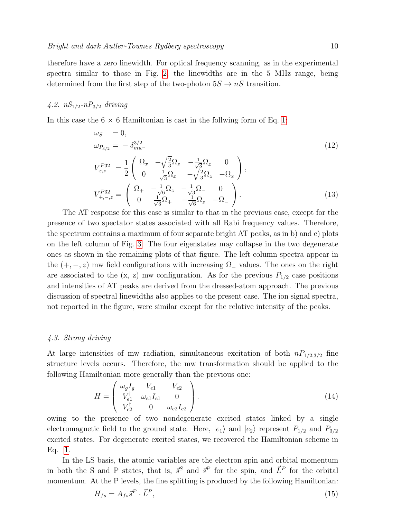therefore have a zero linewidth. For optical frequency scanning, as in the experimental spectra similar to those in Fig. [2,](#page-8-0) the linewidths are in the 5 MHz range, being determined from the first step of the two-photon  $5S \rightarrow nS$  transition.

# 4.2.  $nS_{1/2}$ - $nP_{3/2}$  driving

In this case the  $6 \times 6$  Hamiltonian is cast in the follwing form of Eq. [1:](#page-3-0)

<span id="page-9-1"></span>
$$
\omega_{S} = 0,
$$
\n
$$
\omega_{P_{3/2}} = -\delta_{mw}^{3/2}.
$$
\n
$$
V_{x,z}^{P_{32}} = \frac{1}{2} \begin{pmatrix} \Omega_x & -\sqrt{\frac{2}{3}}\Omega_z & -\frac{1}{\sqrt{3}}\Omega_x & 0\\ 0 & \frac{1}{\sqrt{3}}\Omega_x & -\sqrt{\frac{2}{3}}\Omega_z & -\Omega_x \end{pmatrix},
$$
\n
$$
V_{+,-,z}^{P_{32}} = \begin{pmatrix} \Omega_+ & -\frac{1}{\sqrt{6}}\Omega_z & -\frac{1}{\sqrt{3}}\Omega_- & 0\\ 0 & \frac{1}{\sqrt{3}}\Omega_+ & -\frac{1}{\sqrt{6}}\Omega_z & -\Omega_- \end{pmatrix}.
$$
\n(13)

The AT response for this case is similar to that in the previous case, except for the presence of two spectator states associated with all Rabi frequency values. Therefore, the spectrum contains a maximum of four separate bright AT peaks, as in b) and c) plots on the left column of Fig. [3.](#page-10-0) The four eigenstates may collapse in the two degenerate ones as shown in the remaining plots of that figure. The left column spectra appear in the  $(+, -, z)$  mw field configurations with increasing  $\Omega_{-}$  values. The ones on the right are associated to the  $(x, z)$  mw configuration. As for the previous  $P_{1/2}$  case positions and intensities of AT peaks are derived from the dressed-atom approach. The previous discussion of spectral linewidths also applies to the present case. The ion signal spectra, not reported in the figure, were similar except for the relative intensity of the peaks.

### 4.3. Strong driving

At large intensities of mw radiation, simultaneous excitation of both  $nP_{1/2,3/2}$  fine structure levels occurs. Therefore, the mw transformation should be applied to the following Hamiltonian more generally than the previous one:

<span id="page-9-0"></span>
$$
H = \begin{pmatrix} \omega_g I_g & V_{e1} & V_{e2} \\ V_{e1}^{\dagger} & \omega_{e1} I_{e1} & 0 \\ V_{e2}^{\dagger} & 0 & \omega_{e2} I_{e2} \end{pmatrix} . \tag{14}
$$

owing to the presence of two nondegenerate excited states linked by a single electromagnetic field to the ground state. Here,  $|e_1\rangle$  and  $|e_2\rangle$  represent  $P_{1/2}$  and  $P_{3/2}$ excited states. For degenerate excited states, we recovered the Hamiltonian scheme in Eq. [1.](#page-3-0)

In the LS basis, the atomic variables are the electron spin and orbital momentum in both the S and P states, that is,  $\vec{s}^S$  and  $\vec{s}^P$  for the spin, and  $\vec{L}^P$  for the orbital momentum. At the P levels, the fine splitting is produced by the following Hamiltonian:

$$
H_{fs} = A_{fs}\vec{s}^P \cdot \vec{L}^P,\tag{15}
$$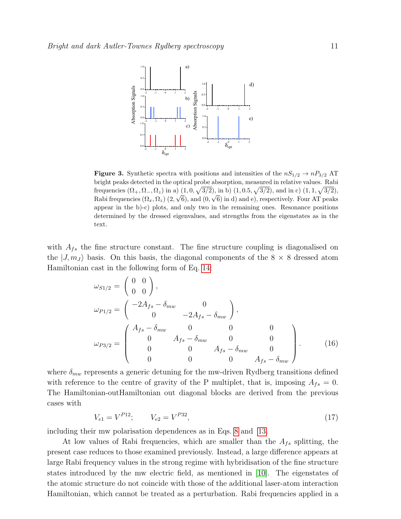

<span id="page-10-0"></span>**Figure 3.** Synthetic spectra with positions and intensities of the  $nS_{1/2} \rightarrow nP_{3/2}$  AT bright peaks detected in the optical probe absorption, measured in relative values. Rabi frequencies  $(\Omega_+, \Omega_-, \Omega_z)$  in a)  $(1, 0, \sqrt{3/2}),$  in b)  $(1, 0.5, \sqrt{3/2}),$  and in c)  $(1, 1, \sqrt{3/2}),$ Rabi frequencies  $(\Omega_x, \Omega_z)$   $(2, \sqrt{6})$ , and  $(0, \sqrt{6})$  in d) and e), respectively. Four AT peaks appear in the b)-c) plots, and only two in the remaining ones. Resonance positions determined by the dressed eigenvalues, and strengths from the eigenstates as in the text.

with  $A_{fs}$  the fine structure constant. The fine structure coupling is diagonalised on the  $|J, m_J\rangle$  basis. On this basis, the diagonal components of the 8  $\times$  8 dressed atom Hamiltonian cast in the following form of Eq. [14:](#page-9-0)

$$
\omega_{S1/2} = \begin{pmatrix} 0 & 0 \\ 0 & 0 \end{pmatrix}, \n\omega_{P1/2} = \begin{pmatrix} -2A_{fs} - \delta_{mw} & 0 \\ 0 & -2A_{fs} - \delta_{mw} \end{pmatrix}, \n\omega_{P3/2} = \begin{pmatrix} A_{fs} - \delta_{mw} & 0 & 0 & 0 \\ 0 & A_{fs} - \delta_{mw} & 0 & 0 \\ 0 & 0 & A_{fs} - \delta_{mw} & 0 \\ 0 & 0 & 0 & A_{fs} - \delta_{mw} \end{pmatrix}.
$$
\n(16)

where  $\delta_{mw}$  represents a generic detuning for the mw-driven Rydberg transitions defined with reference to the centre of gravity of the P multiplet, that is, imposing  $A_{fs} = 0$ . The Hamiltonian-outHamiltonian out diagonal blocks are derived from the previous cases with

$$
V_{e1} = V^{P12}; \t V_{e2} = V^{P32}, \t (17)
$$

including their mw polarisation dependences as in Eqs. [8](#page-7-2) and [13.](#page-9-1)

At low values of Rabi frequencies, which are smaller than the  $A_{fs}$  splitting, the present case reduces to those examined previously. Instead, a large difference appears at large Rabi frequency values in the strong regime with hybridisation of the fine structure states introduced by the mw electric field, as mentioned in [\[10\]](#page-14-9). The eigenstates of the atomic structure do not coincide with those of the additional laser-atom interaction Hamiltonian, which cannot be treated as a perturbation. Rabi frequencies applied in a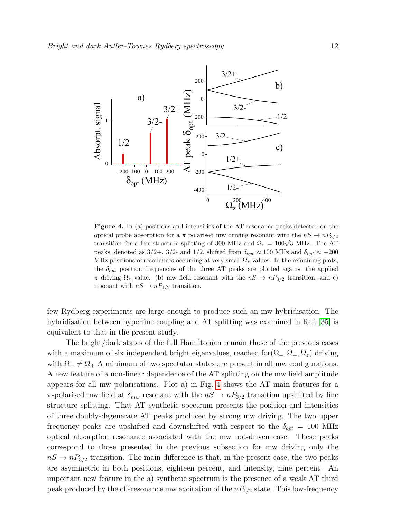

<span id="page-11-0"></span>Figure 4. In (a) positions and intensities of the AT resonance peaks detected on the optical probe absorption for a  $\pi$  polarised mw driving resonant with the  $nS \to nP_{3/2}$ transition for a fine-structure splitting of 300 MHz and  $\Omega_z = 100\sqrt{3}$  MHz. The AT peaks, denoted as  $3/2+$ ,  $3/2$ - and  $1/2$ , shifted from  $\delta_{opt} \approx 100$  MHz and  $\delta_{opt} \approx -200$ MHz positions of resonances occurring at very small  $\Omega_z$  values. In the remaining plots, the  $\delta_{opt}$  position frequencies of the three AT peaks are plotted against the applied  $\pi$  driving  $\Omega_z$  value. (b) mw field resonant with the  $nS \to nP_{3/2}$  transition, and c) resonant with  $nS \to nP_{1/2}$  transition.

few Rydberg experiments are large enough to produce such an mw hybridisation. The hybridisation between hyperfine coupling and AT splitting was examined in Ref. [\[35\]](#page-15-17) is equivalent to that in the present study.

The bright/dark states of the full Hamiltonian remain those of the previous cases with a maximum of six independent bright eigenvalues, reached for $(\Omega_-, \Omega_+, \Omega_z)$  driving with  $\Omega_{-} \neq \Omega_{+}$  A minimum of two spectator states are present in all mw configurations. A new feature of a non-linear dependence of the AT splitting on the mw field amplitude appears for all mw polarisations. Plot a) in Fig. [4](#page-11-0) shows the AT main features for a  $\pi$ -polarised mw field at  $\delta_{mw}$  resonant with the  $nS \to nP_{3/2}$  transition upshifted by fine structure splitting. That AT synthetic spectrum presents the position and intensities of three doubly-degenerate AT peaks produced by strong mw driving. The two upper frequency peaks are upshifted and downshifted with respect to the  $\delta_{opt} = 100$  MHz optical absorption resonance associated with the mw not-driven case. These peaks correspond to those presented in the previous subsection for mw driving only the  $nS \rightarrow nP_{3/2}$  transition. The main difference is that, in the present case, the two peaks are asymmetric in both positions, eighteen percent, and intensity, nine percent. An important new feature in the a) synthetic spectrum is the presence of a weak AT third peak produced by the off-resonance mw excitation of the  $nP_{1/2}$  state. This low-frequency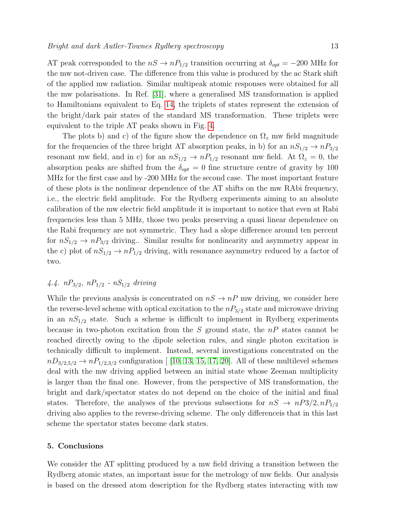AT peak corresponded to the  $nS \to nP_{1/2}$  transition occurring at  $\delta_{opt} = -200$  MHz for the mw not-driven case. The difference from this value is produced by the ac Stark shift of the applied mw radiation. Similar multipeak atomic responses were obtained for all the mw polarisations. In Ref. [\[31\]](#page-15-13), where a generalised MS transformation is applied to Hamiltonians equivalent to Eq. [14,](#page-9-0) the triplets of states represent the extension of the bright/dark pair states of the standard MS transformation. These triplets were equivalent to the triple AT peaks shown in Fig. [4.](#page-11-0)

The plots b) and c) of the figure show the dependence on  $\Omega_z$  mw field magnitude for the frequencies of the three bright AT absorption peaks, in b) for an  $nS_{1/2} \rightarrow nP_{3/2}$ resonant mw field, and in c) for an  $nS_{1/2} \rightarrow nP_{1/2}$  resonant mw field. At  $\Omega_z = 0$ , the absorption peaks are shifted from the  $\delta_{opt} = 0$  fine structure centre of gravity by 100 MHz for the first case and by -200 MHz for the second case. The most important feature of these plots is the nonlinear dependence of the AT shifts on the mw RAbi frequency, i.e., the electric field amplitude. For the Rydberg experiments aiming to an absolute calibration of the mw electric field amplitude it is important to notice that even at Rabi frequencies less than 5 MHz, those two peaks preserving a quasi linear dependence on the Rabi frequency are not symmetric. They had a slope difference around ten percent for  $nS_{1/2} \rightarrow nP_{3/2}$  driving.. Similar results for nonlinearity and asymmetry appear in the c) plot of  $nS_{1/2} \rightarrow nP_{1/2}$  driving, with resonance asymmetry reduced by a factor of two.

# 4.4.  $nP_{3/2}$ ,  $nP_{1/2}$  -  $nS_{1/2}$  driving

While the previous analysis is concentrated on  $nS \to nP$  mw driving, we consider here the reverse-level scheme with optical excitation to the  $nP_{3/2}$  state and microwave driving in an  $nS_{1/2}$  state. Such a scheme is difficult to implement in Rydberg experiments because in two-photon excitation from the S ground state, the  $nP$  states cannot be reached directly owing to the dipole selection rules, and single photon excitation is technically difficult to implement. Instead, several investigations concentrated on the  $nD_{3/2,5/2} \rightarrow nP_{1/2,3/2}$  configuration [ [\[10,](#page-14-9) [13,](#page-14-12) [15,](#page-14-14) [17,](#page-14-16) [20\]](#page-15-2). All of these multilevel schemes deal with the mw driving applied between an initial state whose Zeeman multiplicity is larger than the final one. However, from the perspective of MS transformation, the bright and dark/spectator states do not depend on the choice of the initial and final states. Therefore, the analyses of the previous subsections for  $nS \to nP_3/2, nP_{1/2}$ driving also applies to the reverse-driving scheme. The only differenceis that in this last scheme the spectator states become dark states.

### 5. Conclusions

We consider the AT splitting produced by a mw field driving a transition between the Rydberg atomic states, an important issue for the metrology of mw fields. Our analysis is based on the dressed atom description for the Rydberg states interacting with mw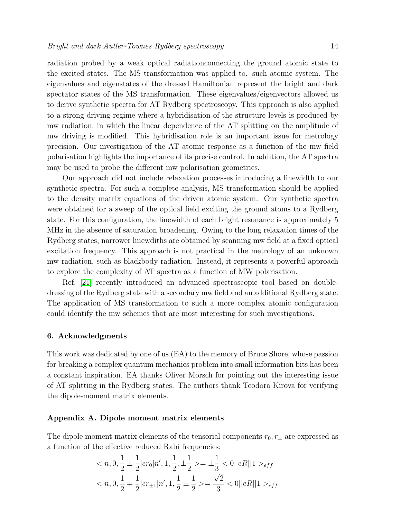radiation probed by a weak optical radiationconnecting the ground atomic state to the excited states. The MS transformation was applied to. such atomic system. The eigenvalues and eigenstates of the dressed Hamiltonian represent the bright and dark spectator states of the MS transformation. These eigenvalues/eigenvectors allowed us to derive synthetic spectra for AT Rydberg spectroscopy. This approach is also applied to a strong driving regime where a hybridisation of the structure levels is produced by mw radiation, in which the linear dependence of the AT splitting on the amplitude of mw driving is modified. This hybridisation role is an important issue for metrology precision. Our investigation of the AT atomic response as a function of the mw field polarisation highlights the importance of its precise control. In addition, the AT spectra may be used to probe the different mw polarisation geometries.

Our approach did not include relaxation processes introducing a linewidth to our synthetic spectra. For such a complete analysis, MS transformation should be applied to the density matrix equations of the driven atomic system. Our synthetic spectra were obtained for a sweep of the optical field exciting the ground atoms to a Rydberg state. For this configuration, the linewidth of each bright resonance is approximately 5 MHz in the absence of saturation broadening. Owing to the long relaxation times of the Rydberg states, narrower linewdiths are obtained by scanning mw field at a fixed optical excitation frequency. This approach is not practical in the metrology of an unknown mw radiation, such as blackbody radiation. Instead, it represents a powerful approach to explore the complexity of AT spectra as a function of MW polarisation.

Ref. [\[21\]](#page-15-3) recently introduced an advanced spectroscopic tool based on doubledressing of the Rydberg state with a secondary mw field and an additional Rydberg state. The application of MS transformation to such a more complex atomic configuration could identify the mw schemes that are most interesting for such investigations.

### 6. Acknowledgments

This work was dedicated by one of us (EA) to the memory of Bruce Shore, whose passion for breaking a complex quantum mechanics problem into small information bits has been a constant inspiration. EA thanks Oliver Morsch for pointing out the interesting issue of AT splitting in the Rydberg states. The authors thank Teodora Kirova for verifying the dipole-moment matrix elements.

#### <span id="page-13-0"></span>Appendix A. Dipole moment matrix elements

The dipole moment matrix elements of the tensorial components  $r_0, r_{\pm}$  are expressed as a function of the effective reduced Rabi frequencies:

<span id="page-13-1"></span>
$$
\langle n, 0, \frac{1}{2} \pm \frac{1}{2} |er_0|n', 1, \frac{1}{2}, \pm \frac{1}{2} \rangle = \pm \frac{1}{3} \langle 0||eR||1 \rangle_{eff}
$$
  

$$
\langle n, 0, \frac{1}{2} \mp \frac{1}{2} |er_{\pm 1}|n', 1, \frac{1}{2} \pm \frac{1}{2} \rangle = \frac{\sqrt{2}}{3} \langle 0||eR||1 \rangle_{eff}
$$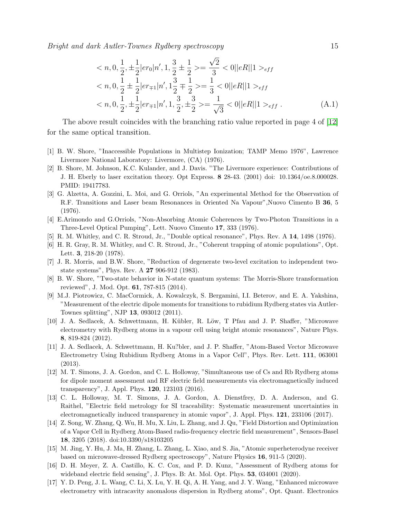Bright and dark Autler-Townes Rydberg spectroscopy 15

$$
\langle n, 0, \frac{1}{2}, \pm \frac{1}{2} | er_0 | n', 1, \frac{3}{2} \pm \frac{1}{2} \rangle = \frac{\sqrt{2}}{3} \langle 0 | | eR| | 1 \rangle_{eff}
$$
  

$$
\langle n, 0, \frac{1}{2} \pm \frac{1}{2} | er_{\mp 1} | n', 1 \frac{3}{2} \mp \frac{1}{2} \rangle = \frac{1}{3} \langle 0 | | eR| | 1 \rangle_{eff}
$$
  

$$
\langle n, 0, \frac{1}{2}, \pm \frac{1}{2} | er_{\mp 1} | n', 1, \frac{3}{2}, \pm \frac{3}{2} \rangle = \frac{1}{\sqrt{3}} \langle 0 | | eR| | 1 \rangle_{eff}.
$$
 (A.1)

The above result coincides with the branching ratio value reported in page 4 of [\[12\]](#page-14-11) for the same optical transition.

- <span id="page-14-0"></span>[1] B. W. Shore, "Inaccessible Populations in Multistep Ionization; TAMP Memo 1976", Lawrence Livermore National Laboratory: Livermore, (CA) (1976).
- <span id="page-14-1"></span>[2] B. Shore, M. Johnson, K.C. Kulander, and J. Davis. "The Livermore experience: Contributions of J. H. Eberly to laser excitation theory. Opt Express. 8 28-43. (2001) doi: 10.1364/oe.8.000028. PMID: 19417783.
- <span id="page-14-2"></span>[3] G. Alzetta, A. Gozzini, L. Moi, and G. Orriols, "An experimental Method for the Observation of R.F. Transitions and Laser beam Resonances in Oriented Na Vapour",Nuovo Cimento B 36, 5 (1976).
- <span id="page-14-3"></span>[4] E.Arimondo and G.Orriols, "Non-Absorbing Atomic Coherences by Two-Photon Transitions in a Three-Level Optical Pumping", Lett. Nuovo Cimento 17, 333 (1976).
- <span id="page-14-4"></span>[5] R. M. Whitley, and C. R. Stroud, Jr., "Double optical resonance", Phys. Rev. A 14, 1498 (1976).
- <span id="page-14-5"></span>[6] H. R. Gray, R. M. Whitley, and C. R. Stroud, Jr., "Coherent trapping of atomic populations", Opt. Lett. 3, 218-20 (1978).
- <span id="page-14-6"></span>[7] J. R. Morris, and B.W. Shore, "Reduction of degenerate two-level excitation to independent twostate systems", Phys. Rev. A 27 906-912 (1983).
- <span id="page-14-7"></span>[8] B. W. Shore, "Two-state behavior in N-state quantum systems: The Morris-Shore transformation reviewed", J. Mod. Opt. 61, 787-815 (2014).
- <span id="page-14-8"></span>[9] M.J. Piotrowicz, C. MacCormick, A. Kowalczyk, S. Bergamini, I.I. Beterov, and E. A. Yakshina, "Measurement of the electric dipole moments for transitions to rubidium Rydberg states via Autler-Townes splitting", NJP 13, 093012 (2011).
- <span id="page-14-9"></span>[10] J. A. Sedlacek, A. Schwettmann, H. Kübler, R. Löw, T Pfau and J. P. Shaffer, "Microwave electrometry with Rydberg atoms in a vapour cell using bright atomic resonances", Nature Phys. 8, 819-824 (2012).
- <span id="page-14-10"></span>[11] J. A. Sedlacek, A. Schwettmann, H. Ku?bler, and J. P. Shaffer, "Atom-Based Vector Microwave Electrometry Using Rubidium Rydberg Atoms in a Vapor Cell", Phys. Rev. Lett. 111, 063001 (2013).
- <span id="page-14-11"></span>[12] M. T. Simons, J. A. Gordon, and C. L. Holloway, "Simultaneous use of Cs and Rb Rydberg atoms for dipole moment assessment and RF electric field measurements via electromagnetically induced transparency", J. Appl. Phys. 120, 123103 (2016).
- <span id="page-14-12"></span>[13] C. L. Holloway, M. T. Simons, J. A. Gordon, A. Dienstfrey, D. A. Anderson, and G. Raithel, "Electric field metrology for SI traceability: Systematic measurement uncertainties in electromagnetically induced transparency in atomic vapor", J. Appl. Phys. 121, 233106 (2017).
- <span id="page-14-13"></span>[14] Z. Song, W. Zhang, Q. Wu, H. Mu, X. Liu, L. Zhang, and J. Qu, "Field Distortion and Optimization of a Vapor Cell in Rydberg Atom-Based radio-frequency electric field measurement", Sensors-Basel 18, 3205 (2018). doi:10.3390/s18103205
- <span id="page-14-14"></span>[15] M. Jing, Y. Hu, J. Ma, H. Zhang, L. Zhang, L. Xiao, and S. Jia, "Atomic superheterodyne receiver based on microwave-dressed Rydberg spectroscopy", Nature Physics 16, 911-5 (2020).
- <span id="page-14-15"></span>[16] D. H. Meyer, Z. A. Castillo, K. C. Cox, and P. D. Kunz, "Assessment of Rydberg atoms for wideband electric field sensing", J. Phys. B: At. Mol. Opt. Phys. 53, 034001 (2020).
- <span id="page-14-16"></span>[17] Y. D. Peng, J. L. Wang, C. Li, X. Lu, Y. H. Qi, A. H. Yang, and J. Y. Wang, "Enhanced microwave electrometry with intracavity anomalous dispersion in Rydberg atoms", Opt. Quant. Electronics